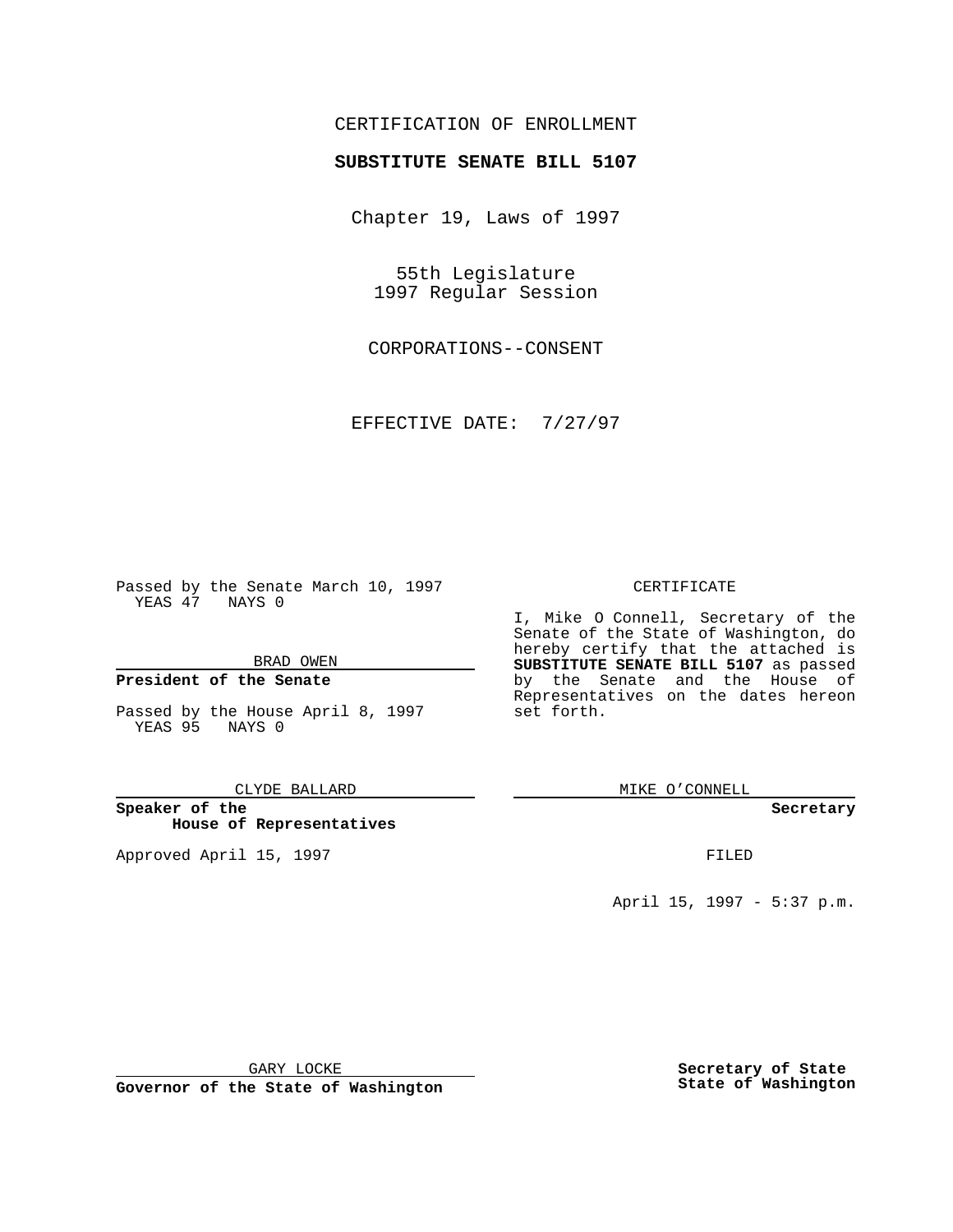## CERTIFICATION OF ENROLLMENT

# **SUBSTITUTE SENATE BILL 5107**

Chapter 19, Laws of 1997

55th Legislature 1997 Regular Session

CORPORATIONS--CONSENT

EFFECTIVE DATE: 7/27/97

Passed by the Senate March 10, 1997 YEAS 47 NAYS 0

BRAD OWEN

### **President of the Senate**

Passed by the House April 8, 1997 YEAS 95 NAYS 0

CLYDE BALLARD

**Speaker of the House of Representatives**

Approved April 15, 1997 **FILED** 

#### CERTIFICATE

I, Mike O Connell, Secretary of the Senate of the State of Washington, do hereby certify that the attached is **SUBSTITUTE SENATE BILL 5107** as passed by the Senate and the House of Representatives on the dates hereon set forth.

MIKE O'CONNELL

#### **Secretary**

April 15, 1997 - 5:37 p.m.

GARY LOCKE

**Governor of the State of Washington**

**Secretary of State State of Washington**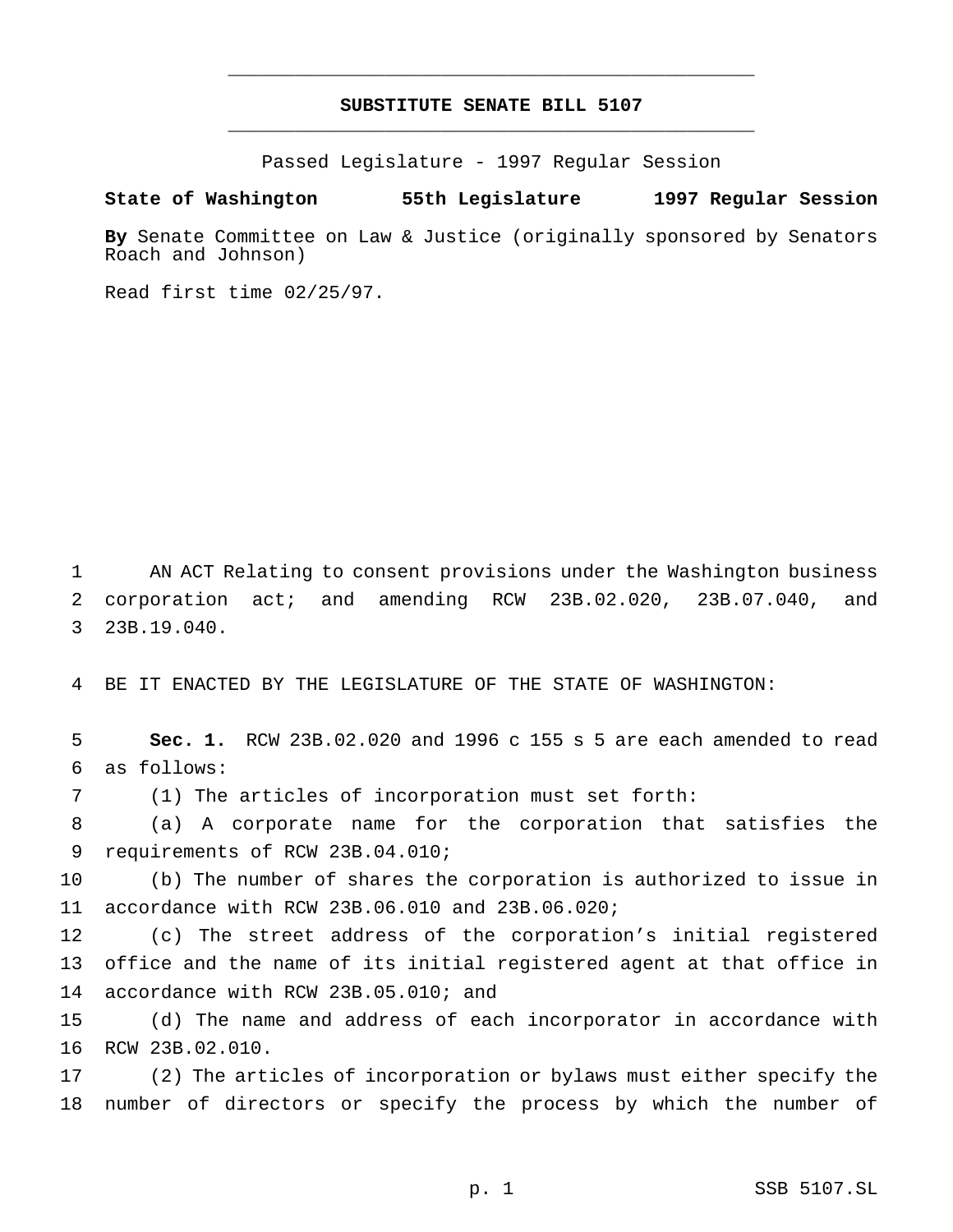# **SUBSTITUTE SENATE BILL 5107** \_\_\_\_\_\_\_\_\_\_\_\_\_\_\_\_\_\_\_\_\_\_\_\_\_\_\_\_\_\_\_\_\_\_\_\_\_\_\_\_\_\_\_\_\_\_\_

\_\_\_\_\_\_\_\_\_\_\_\_\_\_\_\_\_\_\_\_\_\_\_\_\_\_\_\_\_\_\_\_\_\_\_\_\_\_\_\_\_\_\_\_\_\_\_

Passed Legislature - 1997 Regular Session

#### **State of Washington 55th Legislature 1997 Regular Session**

**By** Senate Committee on Law & Justice (originally sponsored by Senators Roach and Johnson)

Read first time 02/25/97.

 AN ACT Relating to consent provisions under the Washington business corporation act; and amending RCW 23B.02.020, 23B.07.040, and 23B.19.040.

BE IT ENACTED BY THE LEGISLATURE OF THE STATE OF WASHINGTON:

 **Sec. 1.** RCW 23B.02.020 and 1996 c 155 s 5 are each amended to read as follows:

(1) The articles of incorporation must set forth:

 (a) A corporate name for the corporation that satisfies the requirements of RCW 23B.04.010;

 (b) The number of shares the corporation is authorized to issue in accordance with RCW 23B.06.010 and 23B.06.020;

 (c) The street address of the corporation's initial registered office and the name of its initial registered agent at that office in accordance with RCW 23B.05.010; and

 (d) The name and address of each incorporator in accordance with RCW 23B.02.010.

 (2) The articles of incorporation or bylaws must either specify the number of directors or specify the process by which the number of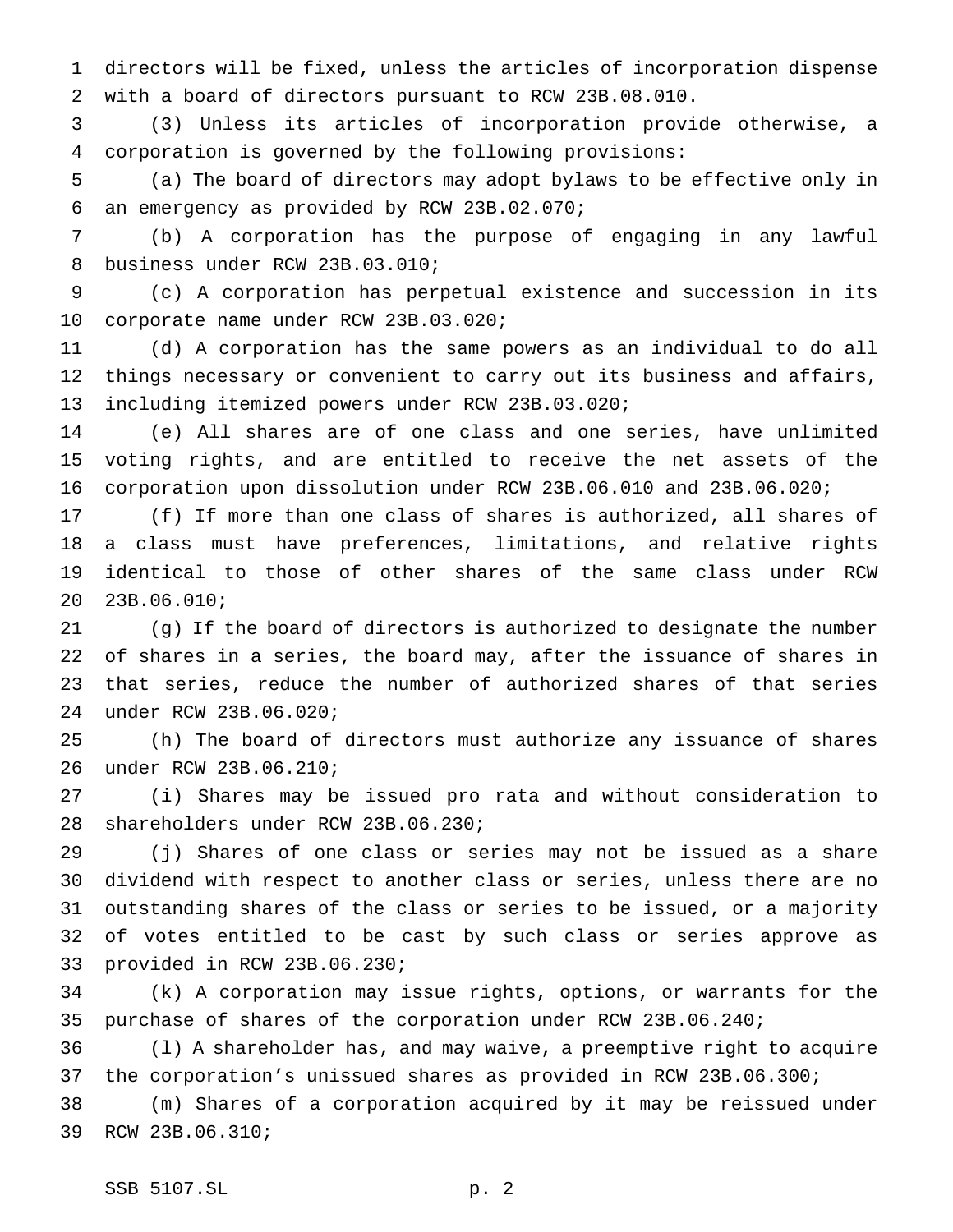directors will be fixed, unless the articles of incorporation dispense with a board of directors pursuant to RCW 23B.08.010.

 (3) Unless its articles of incorporation provide otherwise, a corporation is governed by the following provisions:

 (a) The board of directors may adopt bylaws to be effective only in an emergency as provided by RCW 23B.02.070;

 (b) A corporation has the purpose of engaging in any lawful business under RCW 23B.03.010;

 (c) A corporation has perpetual existence and succession in its corporate name under RCW 23B.03.020;

 (d) A corporation has the same powers as an individual to do all things necessary or convenient to carry out its business and affairs, including itemized powers under RCW 23B.03.020;

 (e) All shares are of one class and one series, have unlimited voting rights, and are entitled to receive the net assets of the corporation upon dissolution under RCW 23B.06.010 and 23B.06.020;

 (f) If more than one class of shares is authorized, all shares of a class must have preferences, limitations, and relative rights identical to those of other shares of the same class under RCW 23B.06.010;

 (g) If the board of directors is authorized to designate the number of shares in a series, the board may, after the issuance of shares in that series, reduce the number of authorized shares of that series under RCW 23B.06.020;

 (h) The board of directors must authorize any issuance of shares under RCW 23B.06.210;

 (i) Shares may be issued pro rata and without consideration to shareholders under RCW 23B.06.230;

 (j) Shares of one class or series may not be issued as a share dividend with respect to another class or series, unless there are no outstanding shares of the class or series to be issued, or a majority of votes entitled to be cast by such class or series approve as provided in RCW 23B.06.230;

 (k) A corporation may issue rights, options, or warrants for the purchase of shares of the corporation under RCW 23B.06.240;

 (l) A shareholder has, and may waive, a preemptive right to acquire the corporation's unissued shares as provided in RCW 23B.06.300;

 (m) Shares of a corporation acquired by it may be reissued under RCW 23B.06.310;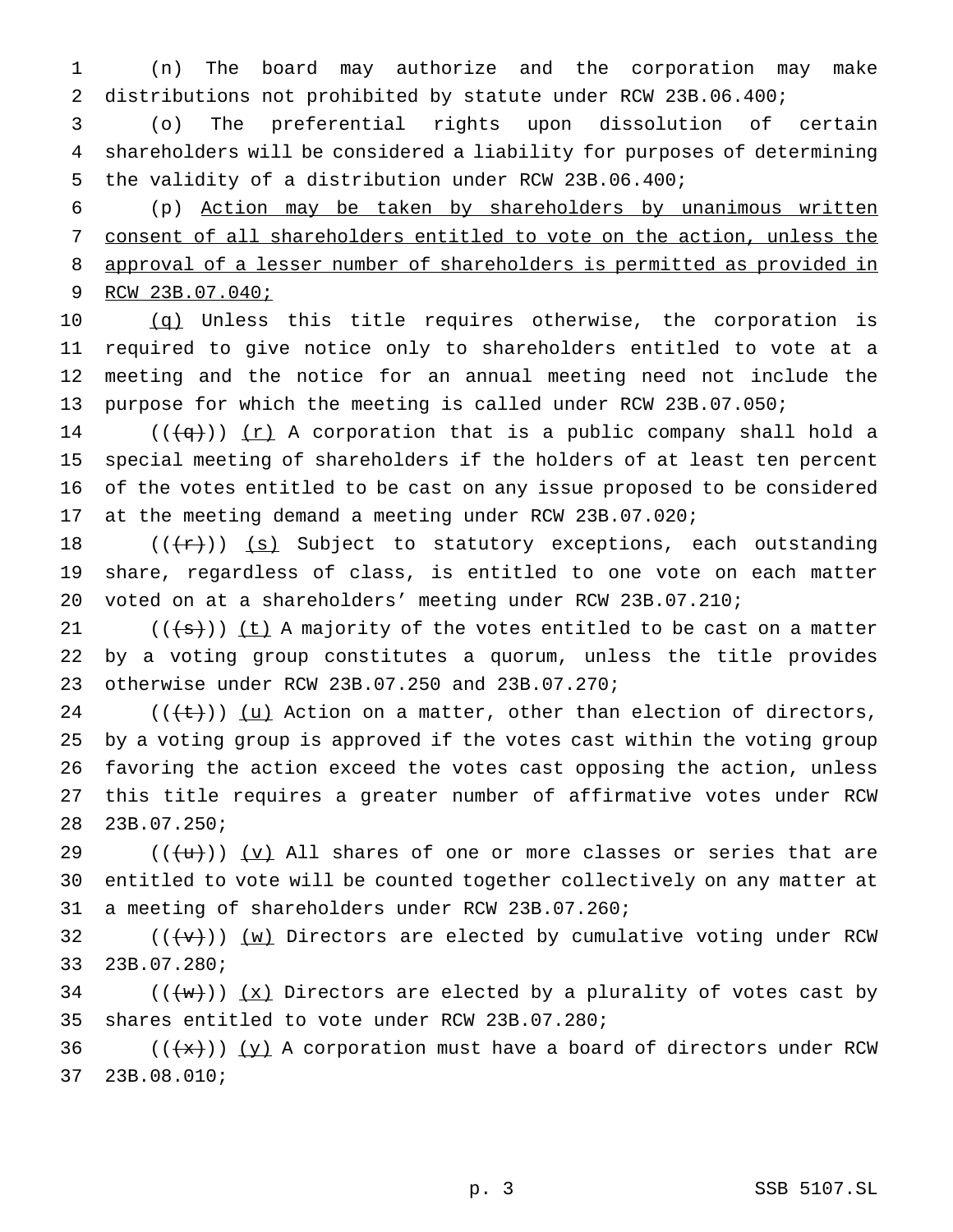(n) The board may authorize and the corporation may make distributions not prohibited by statute under RCW 23B.06.400;

 (o) The preferential rights upon dissolution of certain shareholders will be considered a liability for purposes of determining the validity of a distribution under RCW 23B.06.400;

 (p) Action may be taken by shareholders by unanimous written consent of all shareholders entitled to vote on the action, unless the approval of a lesser number of shareholders is permitted as provided in RCW 23B.07.040;

10 (q) Unless this title requires otherwise, the corporation is required to give notice only to shareholders entitled to vote at a meeting and the notice for an annual meeting need not include the purpose for which the meeting is called under RCW 23B.07.050;

14 ( $(\overline{q})$ ) (r) A corporation that is a public company shall hold a special meeting of shareholders if the holders of at least ten percent of the votes entitled to be cast on any issue proposed to be considered at the meeting demand a meeting under RCW 23B.07.020;

18  $((+r))$  (s) Subject to statutory exceptions, each outstanding share, regardless of class, is entitled to one vote on each matter voted on at a shareholders' meeting under RCW 23B.07.210;

21  $((\{s\}))(t)$  A majority of the votes entitled to be cast on a matter by a voting group constitutes a quorum, unless the title provides otherwise under RCW 23B.07.250 and 23B.07.270;

 $((\{\text{t}\}))(\underline{u})$  Action on a matter, other than election of directors, by a voting group is approved if the votes cast within the voting group favoring the action exceed the votes cast opposing the action, unless this title requires a greater number of affirmative votes under RCW 23B.07.250;

29 ( $(\{+u\})$ )  $\{v\}$  All shares of one or more classes or series that are entitled to vote will be counted together collectively on any matter at a meeting of shareholders under RCW 23B.07.260;

32  $((\forall +))$   $(\leq w)$  Directors are elected by cumulative voting under RCW 23B.07.280;

34  $((+w))$   $(x)$  Directors are elected by a plurality of votes cast by shares entitled to vote under RCW 23B.07.280;

36  $((+x))$   $(y)$  A corporation must have a board of directors under RCW 23B.08.010;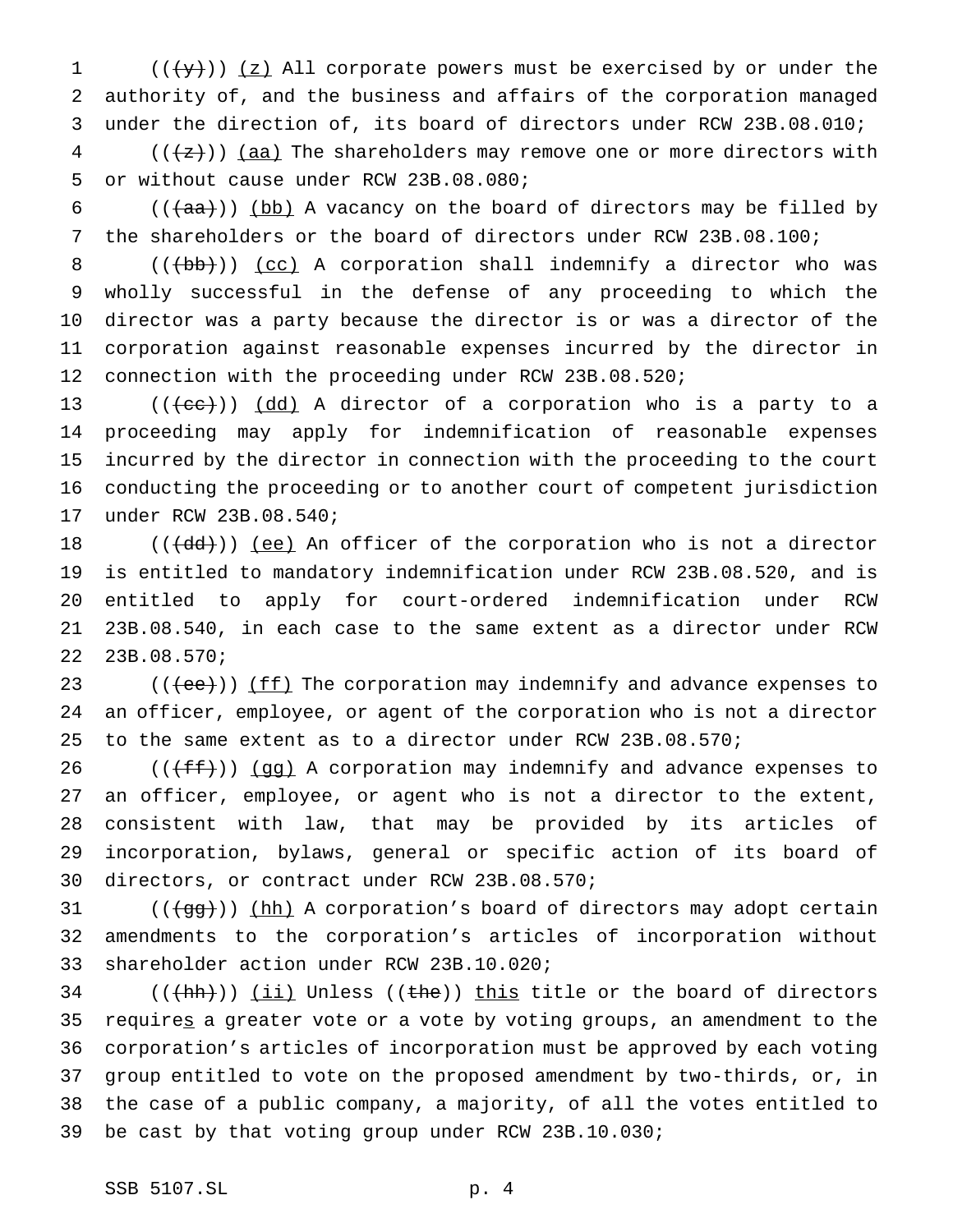1 ( $(\frac{1}{2})$ ) (z) All corporate powers must be exercised by or under the authority of, and the business and affairs of the corporation managed under the direction of, its board of directors under RCW 23B.08.010;

 (( $\left(\frac{1}{2}\right)$ ) (aa) The shareholders may remove one or more directors with or without cause under RCW 23B.08.080;

6 ( $(\overline{+}$ aa)) (bb) A vacancy on the board of directors may be filled by the shareholders or the board of directors under RCW 23B.08.100;

 $((+bb)')$  (cc) A corporation shall indemnify a director who was wholly successful in the defense of any proceeding to which the director was a party because the director is or was a director of the corporation against reasonable expenses incurred by the director in connection with the proceeding under RCW 23B.08.520;

 $((\text{(\text{ee})}) \text{)}$   $(\text{dd})$  A director of a corporation who is a party to a proceeding may apply for indemnification of reasonable expenses incurred by the director in connection with the proceeding to the court conducting the proceeding or to another court of competent jurisdiction under RCW 23B.08.540;

 $((\text{4d}))(\text{e})$  An officer of the corporation who is not a director is entitled to mandatory indemnification under RCW 23B.08.520, and is entitled to apply for court-ordered indemnification under RCW 23B.08.540, in each case to the same extent as a director under RCW 23B.08.570;

23  $((\text{ee}))(\text{ff})$  The corporation may indemnify and advance expenses to an officer, employee, or agent of the corporation who is not a director to the same extent as to a director under RCW 23B.08.570;

26 ( $(\text{fff})$ ) (gg) A corporation may indemnify and advance expenses to an officer, employee, or agent who is not a director to the extent, consistent with law, that may be provided by its articles of incorporation, bylaws, general or specific action of its board of directors, or contract under RCW 23B.08.570;

31  $((\frac{1}{99}))(hh)$  A corporation's board of directors may adopt certain amendments to the corporation's articles of incorporation without shareholder action under RCW 23B.10.020;

 (( $\frac{(\text{th})}{\text{th}}$ )) (ii) Unless (( $\frac{\text{the}}{\text{th}}$ )) this title or the board of directors requires a greater vote or a vote by voting groups, an amendment to the corporation's articles of incorporation must be approved by each voting group entitled to vote on the proposed amendment by two-thirds, or, in the case of a public company, a majority, of all the votes entitled to be cast by that voting group under RCW 23B.10.030;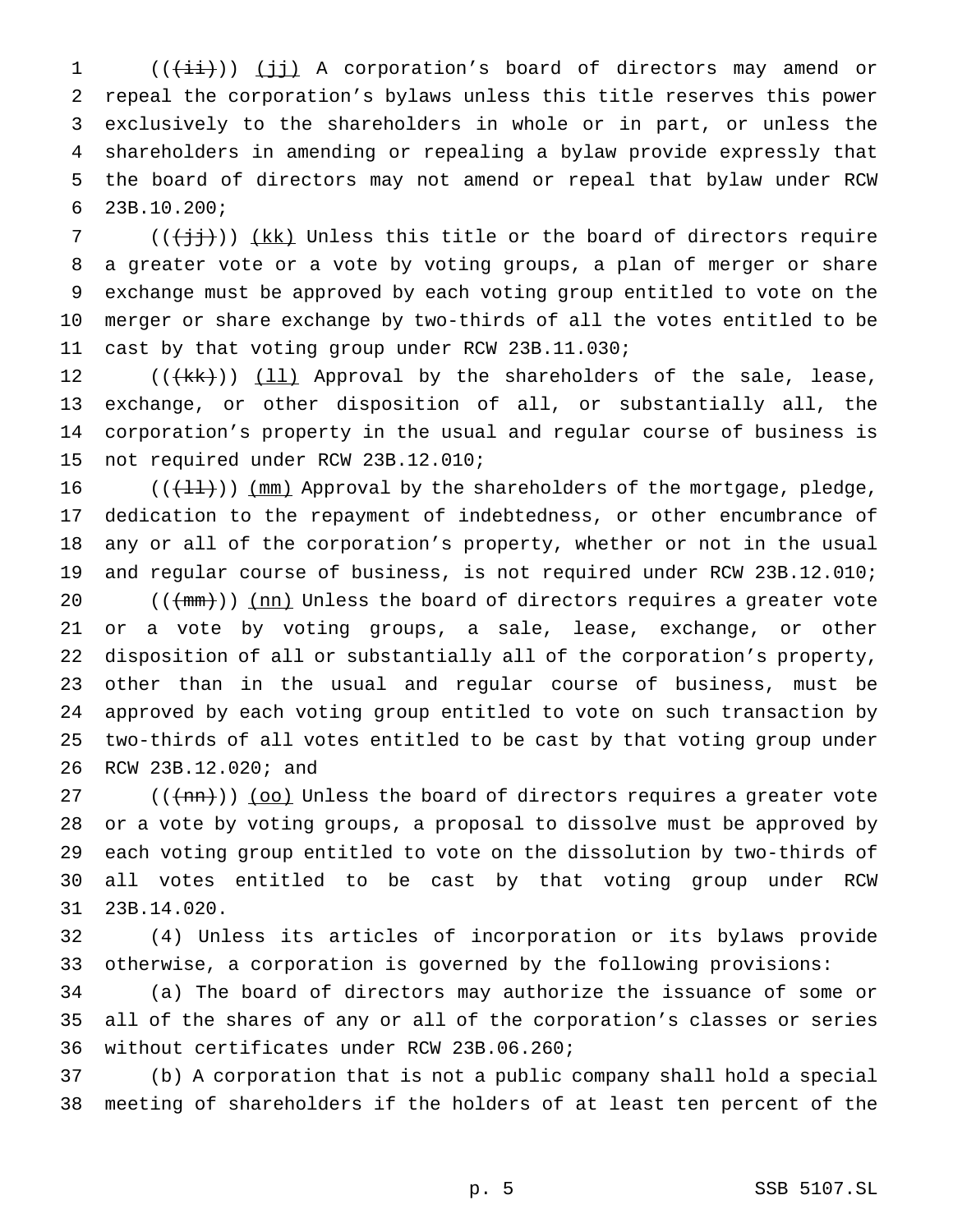1 (((ii)) (jj) A corporation's board of directors may amend or repeal the corporation's bylaws unless this title reserves this power exclusively to the shareholders in whole or in part, or unless the shareholders in amending or repealing a bylaw provide expressly that the board of directors may not amend or repeal that bylaw under RCW 23B.10.200;

7 ( $(\{\dagger j\})$ ) (kk) Unless this title or the board of directors require a greater vote or a vote by voting groups, a plan of merger or share exchange must be approved by each voting group entitled to vote on the merger or share exchange by two-thirds of all the votes entitled to be cast by that voting group under RCW 23B.11.030;

12 (((kk))) (11) Approval by the shareholders of the sale, lease, exchange, or other disposition of all, or substantially all, the corporation's property in the usual and regular course of business is not required under RCW 23B.12.010;

 $((\lbrace \frac{11}{1} \rbrace) )$  (mm) Approval by the shareholders of the mortgage, pledge, dedication to the repayment of indebtedness, or other encumbrance of any or all of the corporation's property, whether or not in the usual and regular course of business, is not required under RCW 23B.12.010;

 $((+nm))$   $(nn)$  Unless the board of directors requires a greater vote or a vote by voting groups, a sale, lease, exchange, or other disposition of all or substantially all of the corporation's property, other than in the usual and regular course of business, must be approved by each voting group entitled to vote on such transaction by two-thirds of all votes entitled to be cast by that voting group under RCW 23B.12.020; and

 $((+mn))$  (oo) Unless the board of directors requires a greater vote or a vote by voting groups, a proposal to dissolve must be approved by each voting group entitled to vote on the dissolution by two-thirds of all votes entitled to be cast by that voting group under RCW 23B.14.020.

 (4) Unless its articles of incorporation or its bylaws provide otherwise, a corporation is governed by the following provisions:

 (a) The board of directors may authorize the issuance of some or all of the shares of any or all of the corporation's classes or series without certificates under RCW 23B.06.260;

 (b) A corporation that is not a public company shall hold a special meeting of shareholders if the holders of at least ten percent of the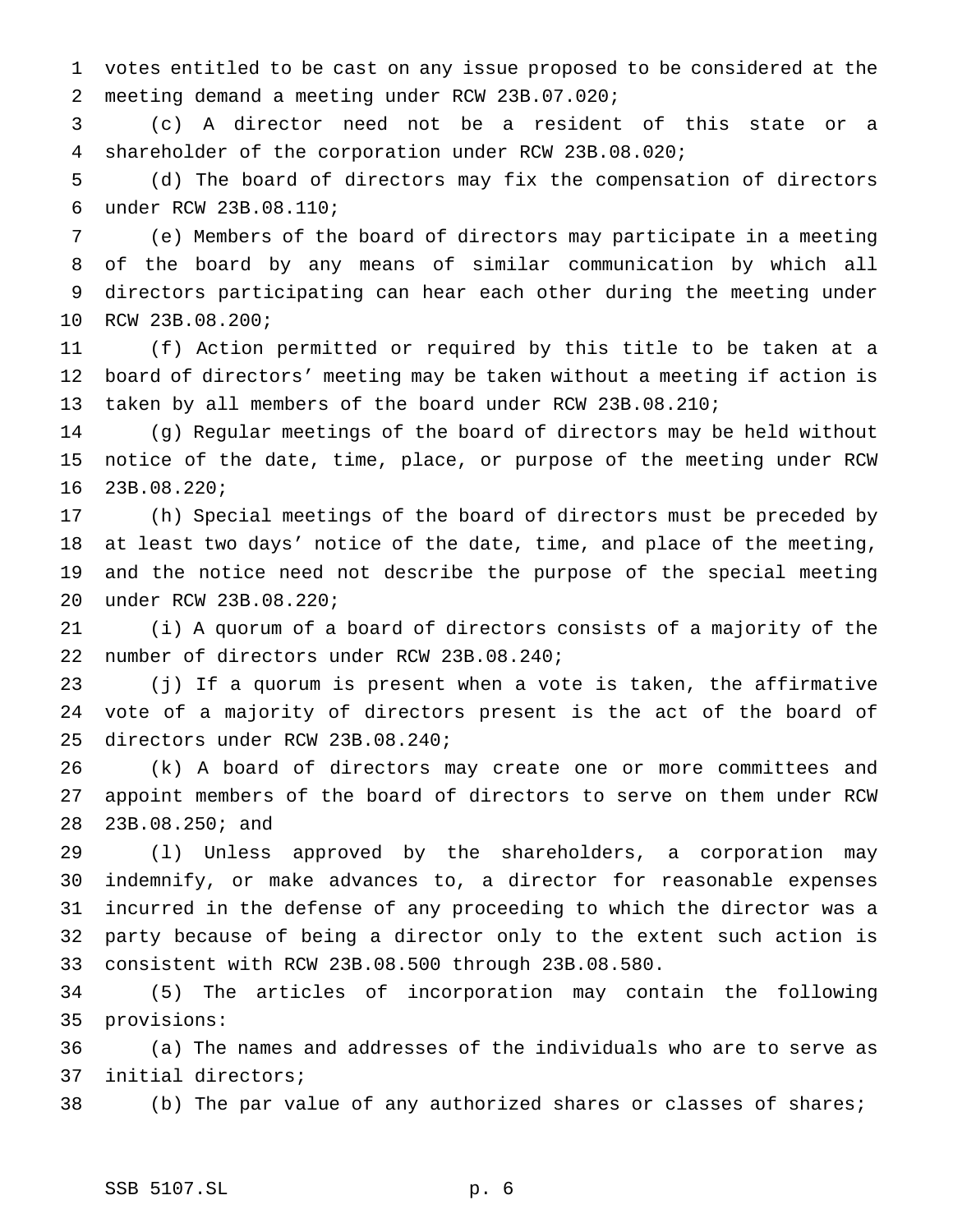votes entitled to be cast on any issue proposed to be considered at the meeting demand a meeting under RCW 23B.07.020;

 (c) A director need not be a resident of this state or a shareholder of the corporation under RCW 23B.08.020;

 (d) The board of directors may fix the compensation of directors under RCW 23B.08.110;

 (e) Members of the board of directors may participate in a meeting of the board by any means of similar communication by which all directors participating can hear each other during the meeting under RCW 23B.08.200;

 (f) Action permitted or required by this title to be taken at a board of directors' meeting may be taken without a meeting if action is taken by all members of the board under RCW 23B.08.210;

 (g) Regular meetings of the board of directors may be held without notice of the date, time, place, or purpose of the meeting under RCW 23B.08.220;

 (h) Special meetings of the board of directors must be preceded by at least two days' notice of the date, time, and place of the meeting, and the notice need not describe the purpose of the special meeting under RCW 23B.08.220;

 (i) A quorum of a board of directors consists of a majority of the number of directors under RCW 23B.08.240;

 (j) If a quorum is present when a vote is taken, the affirmative vote of a majority of directors present is the act of the board of directors under RCW 23B.08.240;

 (k) A board of directors may create one or more committees and appoint members of the board of directors to serve on them under RCW 23B.08.250; and

 (l) Unless approved by the shareholders, a corporation may indemnify, or make advances to, a director for reasonable expenses incurred in the defense of any proceeding to which the director was a party because of being a director only to the extent such action is consistent with RCW 23B.08.500 through 23B.08.580.

 (5) The articles of incorporation may contain the following provisions:

 (a) The names and addresses of the individuals who are to serve as initial directors;

(b) The par value of any authorized shares or classes of shares;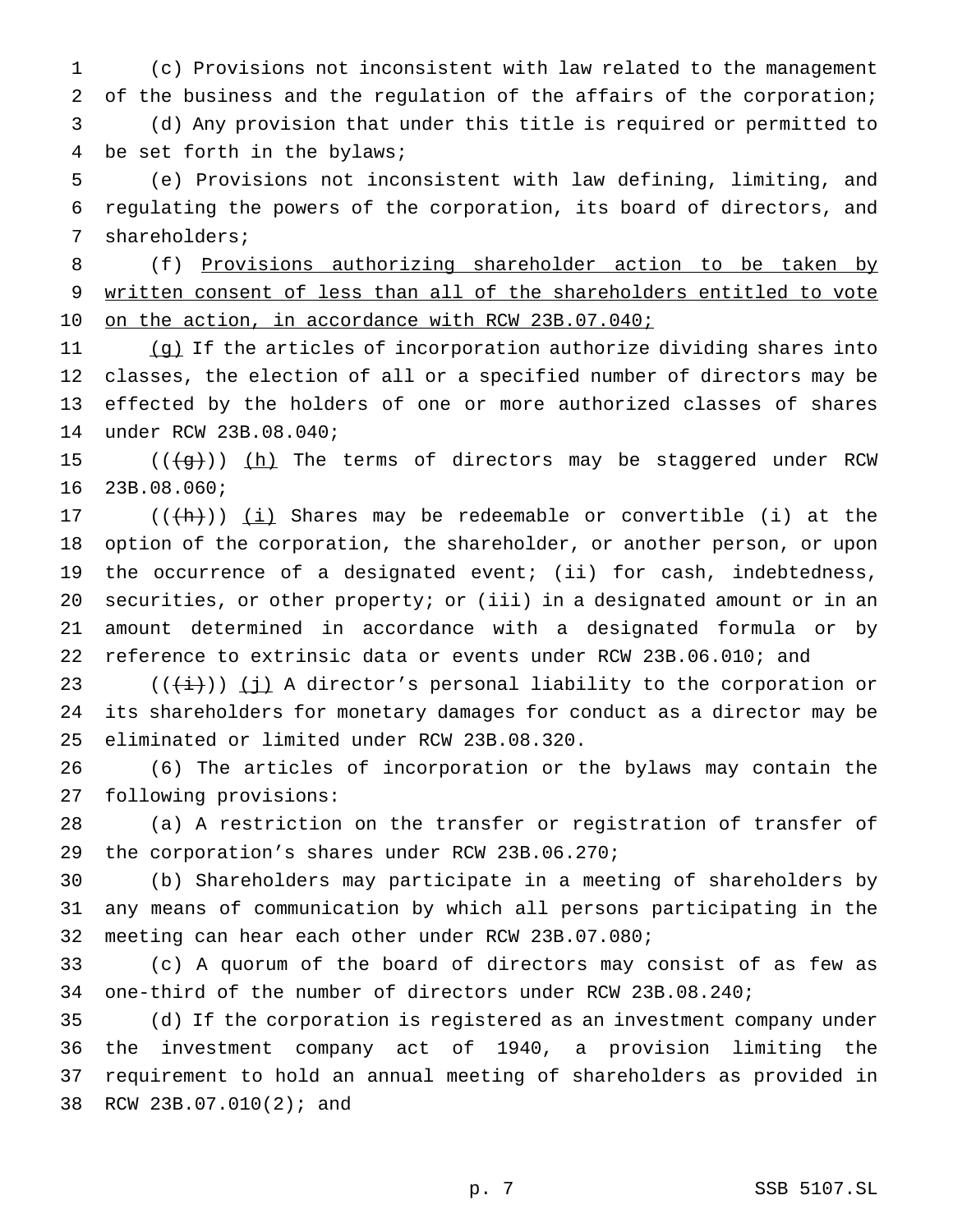(c) Provisions not inconsistent with law related to the management of the business and the regulation of the affairs of the corporation; (d) Any provision that under this title is required or permitted to be set forth in the bylaws;

 (e) Provisions not inconsistent with law defining, limiting, and regulating the powers of the corporation, its board of directors, and shareholders;

 (f) Provisions authorizing shareholder action to be taken by written consent of less than all of the shareholders entitled to vote 10 on the action, in accordance with RCW 23B.07.040;

 (g) If the articles of incorporation authorize dividing shares into classes, the election of all or a specified number of directors may be effected by the holders of one or more authorized classes of shares under RCW 23B.08.040;

15  $((+g+))$  (h) The terms of directors may be staggered under RCW 23B.08.060;

 $((+h))$  (i) Shares may be redeemable or convertible (i) at the option of the corporation, the shareholder, or another person, or upon the occurrence of a designated event; (ii) for cash, indebtedness, securities, or other property; or (iii) in a designated amount or in an amount determined in accordance with a designated formula or by reference to extrinsic data or events under RCW 23B.06.010; and

23 ( $(\frac{1}{i})$ ) (j) A director's personal liability to the corporation or its shareholders for monetary damages for conduct as a director may be eliminated or limited under RCW 23B.08.320.

 (6) The articles of incorporation or the bylaws may contain the following provisions:

 (a) A restriction on the transfer or registration of transfer of the corporation's shares under RCW 23B.06.270;

 (b) Shareholders may participate in a meeting of shareholders by any means of communication by which all persons participating in the meeting can hear each other under RCW 23B.07.080;

 (c) A quorum of the board of directors may consist of as few as one-third of the number of directors under RCW 23B.08.240;

 (d) If the corporation is registered as an investment company under the investment company act of 1940, a provision limiting the requirement to hold an annual meeting of shareholders as provided in RCW 23B.07.010(2); and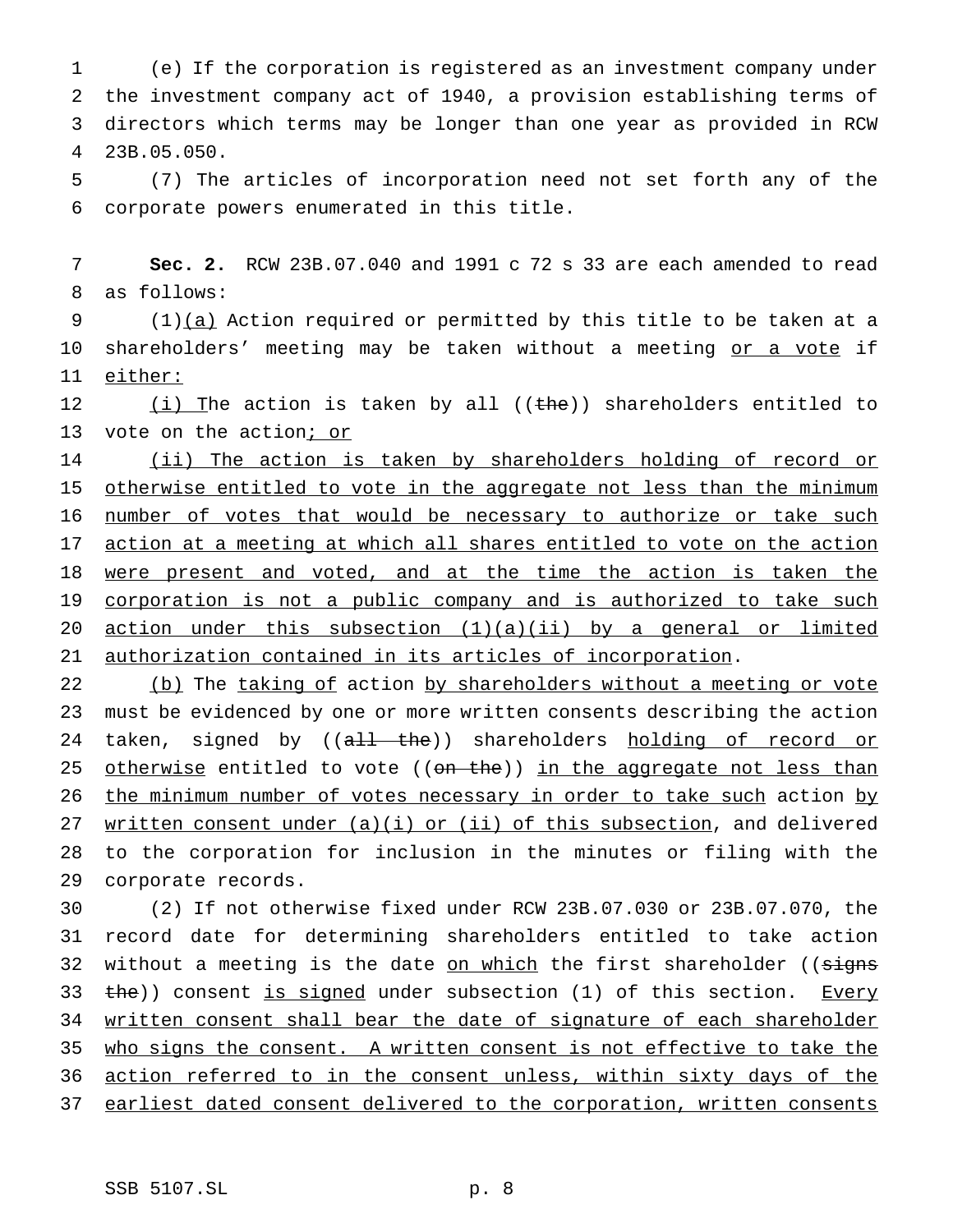(e) If the corporation is registered as an investment company under the investment company act of 1940, a provision establishing terms of directors which terms may be longer than one year as provided in RCW 23B.05.050.

5 (7) The articles of incorporation need not set forth any of the 6 corporate powers enumerated in this title.

7 **Sec. 2.** RCW 23B.07.040 and 1991 c 72 s 33 are each amended to read 8 as follows:

9 (1)(a) Action required or permitted by this title to be taken at a 10 shareholders' meeting may be taken without a meeting or a vote if 11 either:

12  $(i)$  The action is taken by all ((the)) shareholders entitled to 13 vote on the action; or

14 (ii) The action is taken by shareholders holding of record or 15 otherwise entitled to vote in the aggregate not less than the minimum 16 number of votes that would be necessary to authorize or take such 17 action at a meeting at which all shares entitled to vote on the action 18 were present and voted, and at the time the action is taken the 19 corporation is not a public company and is authorized to take such 20 action under this subsection (1)(a)(ii) by a general or limited 21 authorization contained in its articles of incorporation.

22 (b) The taking of action by shareholders without a meeting or vote 23 must be evidenced by one or more written consents describing the action 24 taken, signed by ((all the)) shareholders holding of record or 25 otherwise entitled to vote ((on the)) in the aggregate not less than 26 the minimum number of votes necessary in order to take such action by 27 written consent under  $(a)(i)$  or  $(ii)$  of this subsection, and delivered 28 to the corporation for inclusion in the minutes or filing with the 29 corporate records.

 (2) If not otherwise fixed under RCW 23B.07.030 or 23B.07.070, the record date for determining shareholders entitled to take action 32 without a meeting is the date on which the first shareholder ((signs 33 the)) consent is signed under subsection (1) of this section. Every written consent shall bear the date of signature of each shareholder who signs the consent. A written consent is not effective to take the 36 action referred to in the consent unless, within sixty days of the earliest dated consent delivered to the corporation, written consents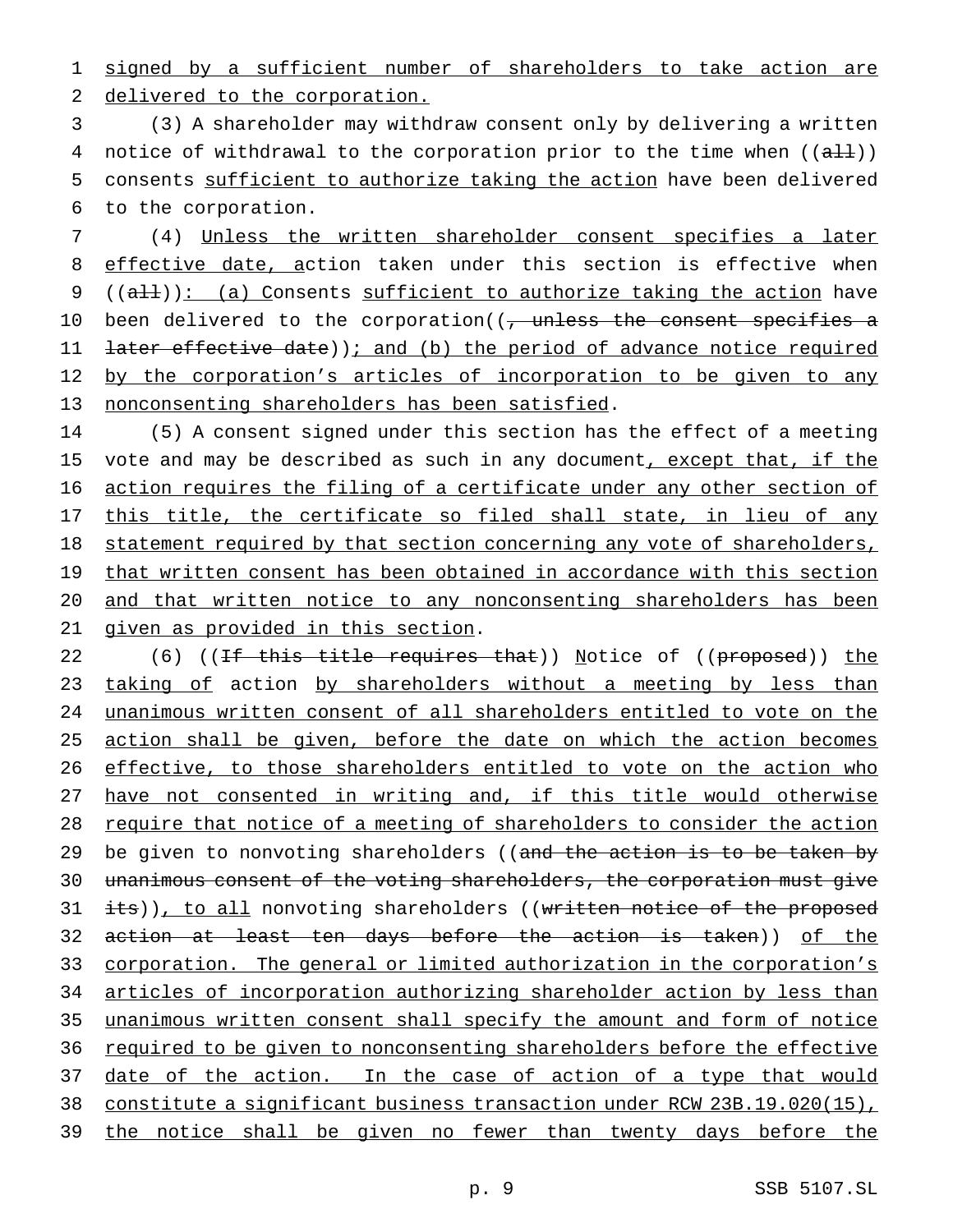1 signed by a sufficient number of shareholders to take action are 2 delivered to the corporation.

 (3) A shareholder may withdraw consent only by delivering a written 4 notice of withdrawal to the corporation prior to the time when  $((aH))$  consents sufficient to authorize taking the action have been delivered to the corporation.

7 (4) Unless the written shareholder consent specifies a later 8 effective date, action taken under this section is effective when 9  $((a+1))$ : (a) Consents sufficient to authorize taking the action have 10 been delivered to the corporation((, unless the consent specifies a 11 <del>later effective date</del>)); and (b) the period of advance notice required 12 by the corporation's articles of incorporation to be given to any 13 nonconsenting shareholders has been satisfied.

14 (5) A consent signed under this section has the effect of a meeting 15 vote and may be described as such in any document, except that, if the 16 action requires the filing of a certificate under any other section of 17 this title, the certificate so filed shall state, in lieu of any 18 statement required by that section concerning any vote of shareholders, 19 that written consent has been obtained in accordance with this section 20 and that written notice to any nonconsenting shareholders has been 21 given as provided in this section.

22 (6) ((<del>If this title requires that</del>)) Notice of ((proposed)) <u>the</u> 23 taking of action by shareholders without a meeting by less than 24 unanimous written consent of all shareholders entitled to vote on the 25 action shall be given, before the date on which the action becomes 26 effective, to those shareholders entitled to vote on the action who 27 have not consented in writing and, if this title would otherwise 28 require that notice of a meeting of shareholders to consider the action 29 be given to nonvoting shareholders ((and the action is to be taken by 30 unanimous consent of the voting shareholders, the corporation must give 31 its)), to all nonvoting shareholders ((written notice of the proposed 32 action at least ten days before the action is taken)) of the 33 corporation. The general or limited authorization in the corporation's 34 articles of incorporation authorizing shareholder action by less than 35 unanimous written consent shall specify the amount and form of notice 36 required to be given to nonconsenting shareholders before the effective 37 date of the action. In the case of action of a type that would 38 constitute a significant business transaction under RCW 23B.19.020(15), 39 the notice shall be given no fewer than twenty days before the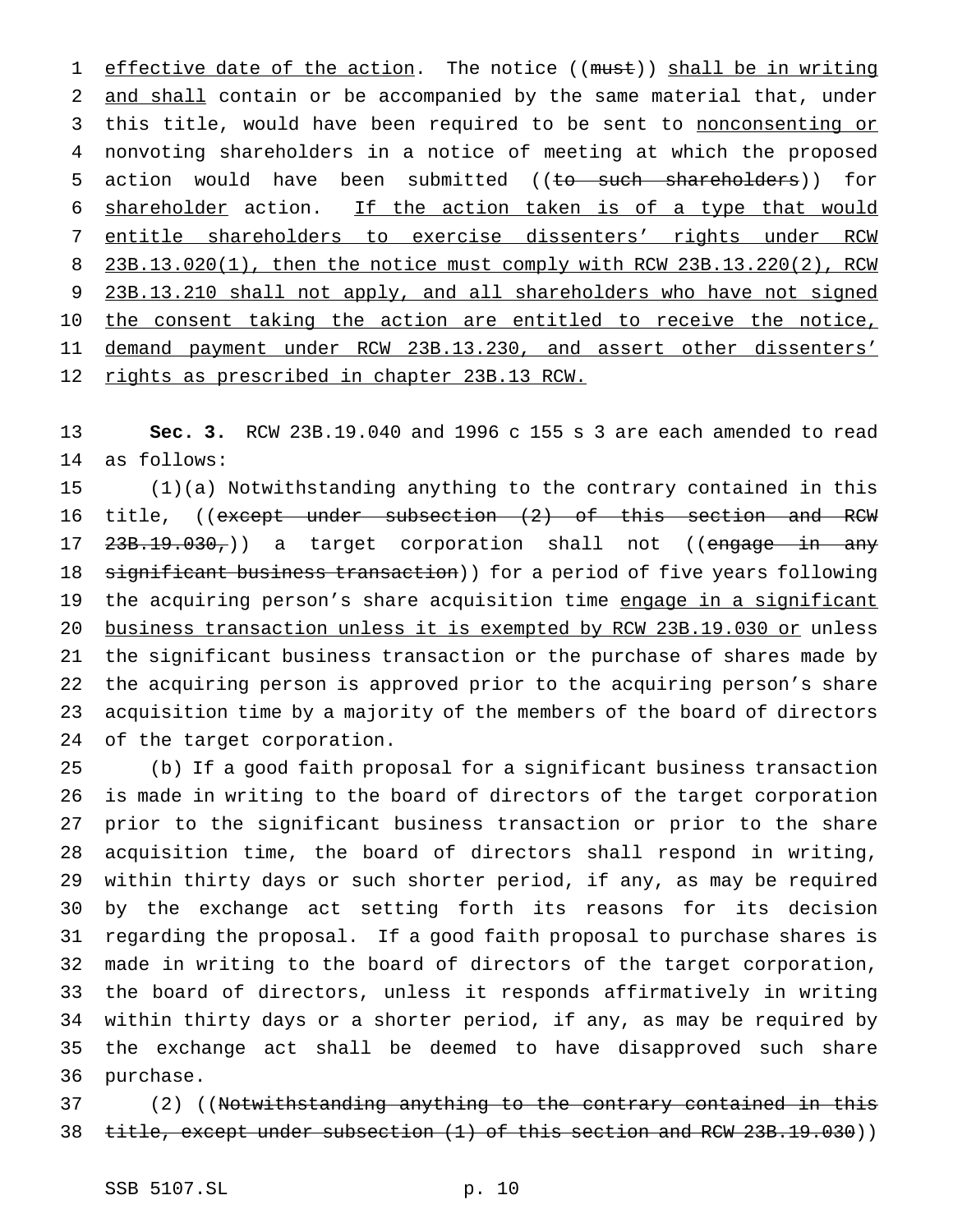1 effective date of the action. The notice ((must)) shall be in writing and shall contain or be accompanied by the same material that, under 3 this title, would have been required to be sent to nonconsenting or nonvoting shareholders in a notice of meeting at which the proposed 5 action would have been submitted ((to such shareholders)) for shareholder action. If the action taken is of a type that would entitle shareholders to exercise dissenters' rights under RCW 23B.13.020(1), then the notice must comply with RCW 23B.13.220(2), RCW 9 23B.13.210 shall not apply, and all shareholders who have not signed 10 the consent taking the action are entitled to receive the notice, 11 demand payment under RCW 23B.13.230, and assert other dissenters' rights as prescribed in chapter 23B.13 RCW.

 **Sec. 3.** RCW 23B.19.040 and 1996 c 155 s 3 are each amended to read as follows:

 (1)(a) Notwithstanding anything to the contrary contained in this 16 title, ((except under subsection (2) of this section and RCW 17 <del>23B.19.030,</del>)) a target corporation shall not ((engage in any 18 significant business transaction)) for a period of five years following 19 the acquiring person's share acquisition time engage in a significant business transaction unless it is exempted by RCW 23B.19.030 or unless the significant business transaction or the purchase of shares made by the acquiring person is approved prior to the acquiring person's share acquisition time by a majority of the members of the board of directors of the target corporation.

 (b) If a good faith proposal for a significant business transaction is made in writing to the board of directors of the target corporation prior to the significant business transaction or prior to the share acquisition time, the board of directors shall respond in writing, within thirty days or such shorter period, if any, as may be required by the exchange act setting forth its reasons for its decision regarding the proposal. If a good faith proposal to purchase shares is made in writing to the board of directors of the target corporation, the board of directors, unless it responds affirmatively in writing within thirty days or a shorter period, if any, as may be required by the exchange act shall be deemed to have disapproved such share purchase.

37 (2) ((Notwithstanding anything to the contrary contained in this 38 title, except under subsection (1) of this section and RCW 23B.19.030))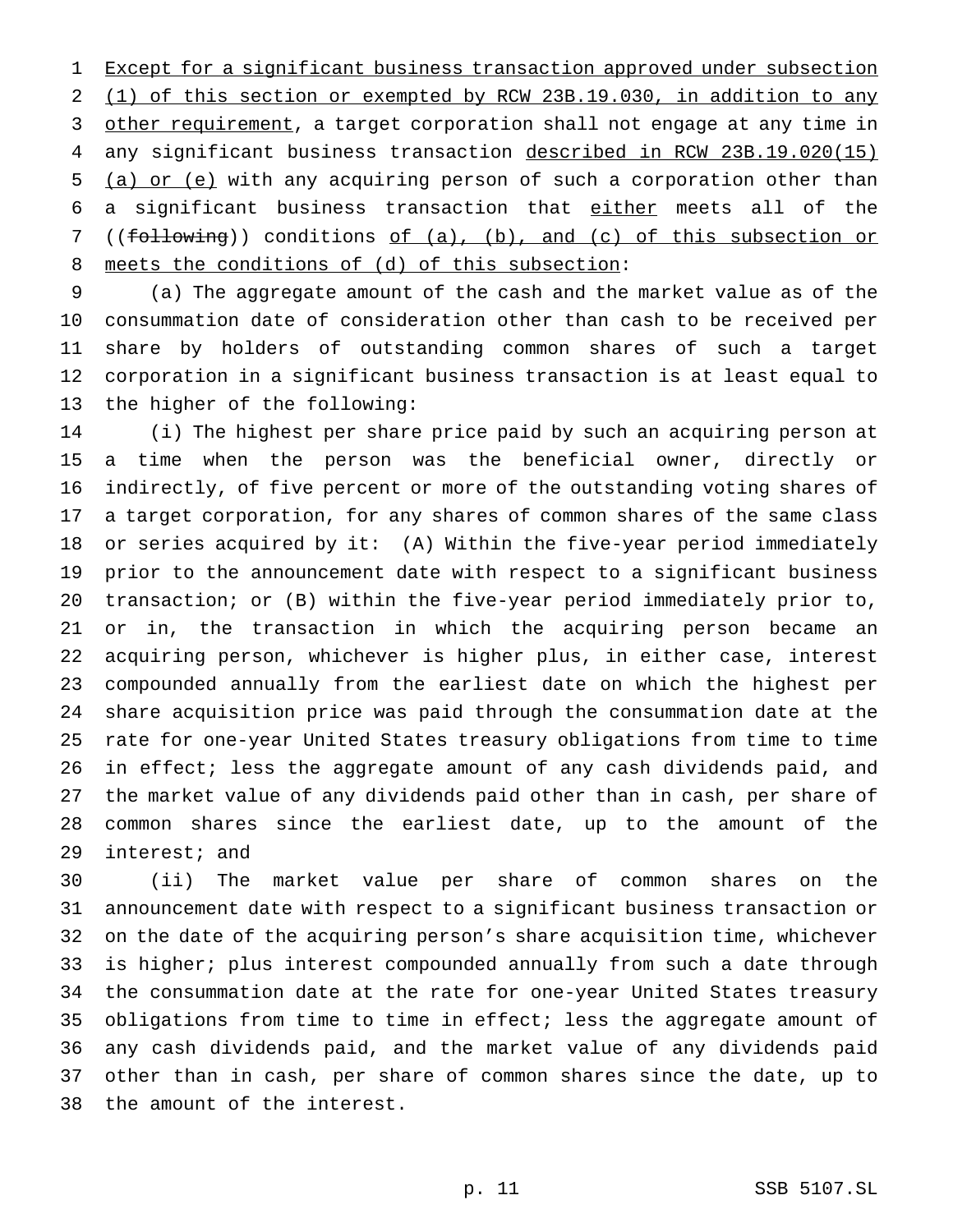1 Except for a significant business transaction approved under subsection (1) of this section or exempted by RCW 23B.19.030, in addition to any 3 other requirement, a target corporation shall not engage at any time in any significant business transaction described in RCW 23B.19.020(15) (a) or (e) with any acquiring person of such a corporation other than a significant business transaction that either meets all of the ((following)) conditions of (a), (b), and (c) of this subsection or meets the conditions of (d) of this subsection:

 (a) The aggregate amount of the cash and the market value as of the consummation date of consideration other than cash to be received per share by holders of outstanding common shares of such a target corporation in a significant business transaction is at least equal to the higher of the following:

 (i) The highest per share price paid by such an acquiring person at a time when the person was the beneficial owner, directly or indirectly, of five percent or more of the outstanding voting shares of a target corporation, for any shares of common shares of the same class or series acquired by it: (A) Within the five-year period immediately prior to the announcement date with respect to a significant business transaction; or (B) within the five-year period immediately prior to, or in, the transaction in which the acquiring person became an acquiring person, whichever is higher plus, in either case, interest compounded annually from the earliest date on which the highest per share acquisition price was paid through the consummation date at the rate for one-year United States treasury obligations from time to time in effect; less the aggregate amount of any cash dividends paid, and the market value of any dividends paid other than in cash, per share of common shares since the earliest date, up to the amount of the interest; and

 (ii) The market value per share of common shares on the announcement date with respect to a significant business transaction or on the date of the acquiring person's share acquisition time, whichever is higher; plus interest compounded annually from such a date through the consummation date at the rate for one-year United States treasury obligations from time to time in effect; less the aggregate amount of any cash dividends paid, and the market value of any dividends paid other than in cash, per share of common shares since the date, up to the amount of the interest.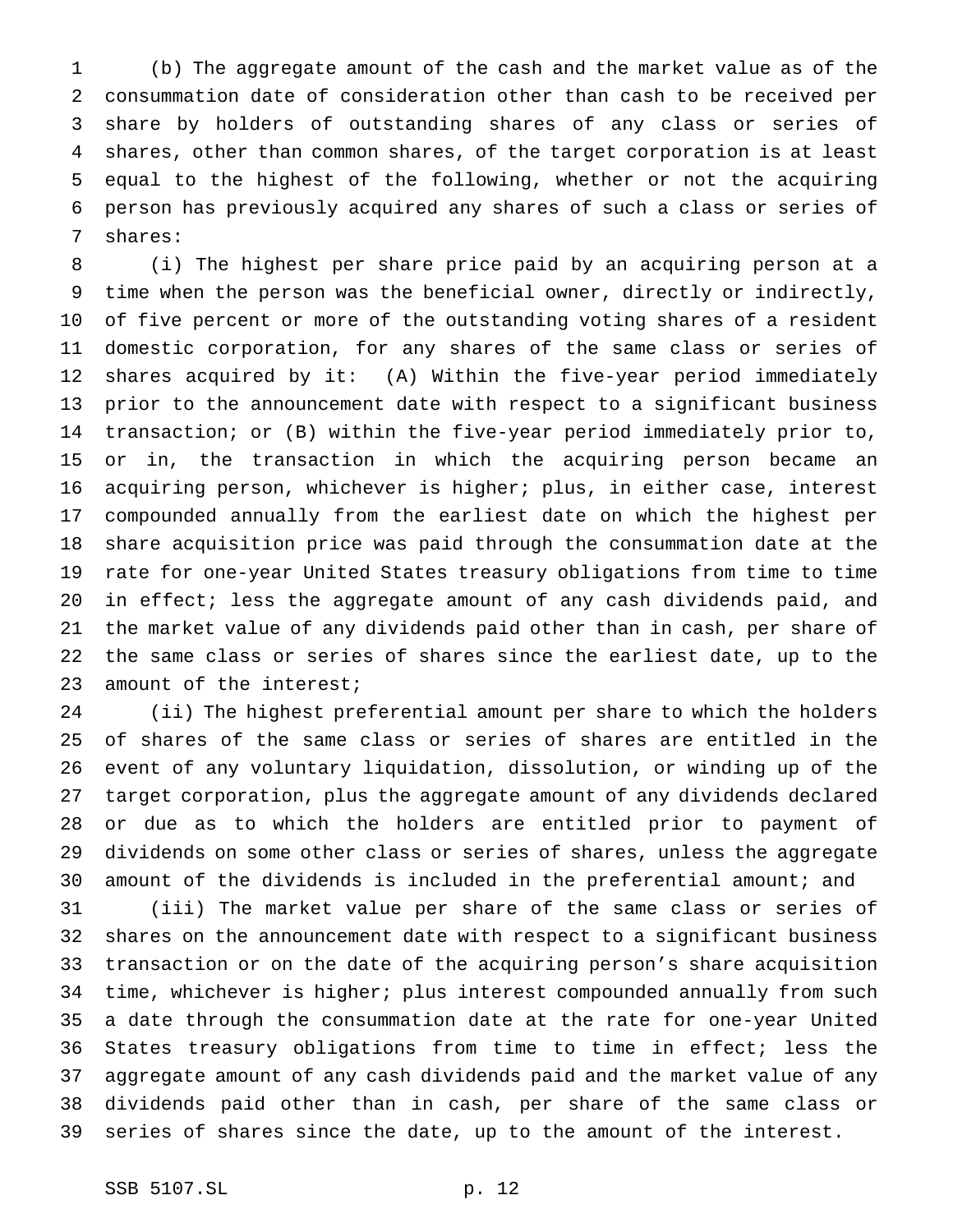(b) The aggregate amount of the cash and the market value as of the consummation date of consideration other than cash to be received per share by holders of outstanding shares of any class or series of shares, other than common shares, of the target corporation is at least equal to the highest of the following, whether or not the acquiring person has previously acquired any shares of such a class or series of shares:

 (i) The highest per share price paid by an acquiring person at a time when the person was the beneficial owner, directly or indirectly, of five percent or more of the outstanding voting shares of a resident domestic corporation, for any shares of the same class or series of shares acquired by it: (A) Within the five-year period immediately prior to the announcement date with respect to a significant business transaction; or (B) within the five-year period immediately prior to, or in, the transaction in which the acquiring person became an acquiring person, whichever is higher; plus, in either case, interest compounded annually from the earliest date on which the highest per share acquisition price was paid through the consummation date at the rate for one-year United States treasury obligations from time to time in effect; less the aggregate amount of any cash dividends paid, and the market value of any dividends paid other than in cash, per share of the same class or series of shares since the earliest date, up to the 23 amount of the interest;

 (ii) The highest preferential amount per share to which the holders of shares of the same class or series of shares are entitled in the event of any voluntary liquidation, dissolution, or winding up of the target corporation, plus the aggregate amount of any dividends declared or due as to which the holders are entitled prior to payment of dividends on some other class or series of shares, unless the aggregate amount of the dividends is included in the preferential amount; and

 (iii) The market value per share of the same class or series of shares on the announcement date with respect to a significant business transaction or on the date of the acquiring person's share acquisition time, whichever is higher; plus interest compounded annually from such a date through the consummation date at the rate for one-year United States treasury obligations from time to time in effect; less the aggregate amount of any cash dividends paid and the market value of any dividends paid other than in cash, per share of the same class or series of shares since the date, up to the amount of the interest.